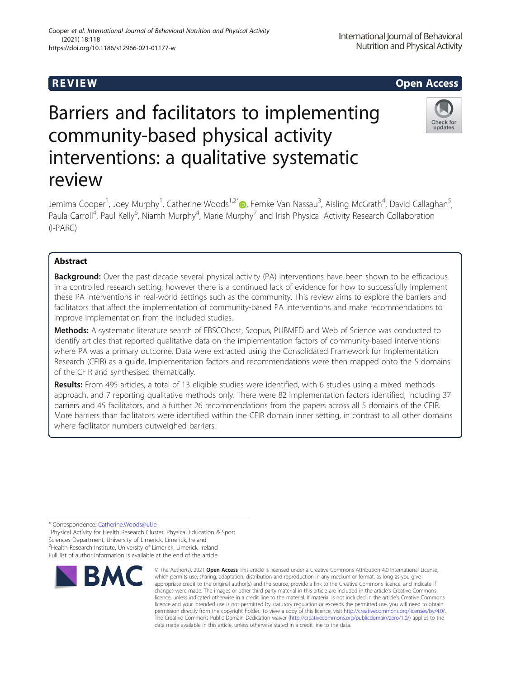# Cooper et al. International Journal of Behavioral Nutrition and Physical Activity (2021) 18:118 https://doi.org/10.1186/s12966-021-01177-w

# R EVI EW Open Access

International Journal of Behavioral Nutrition and Physical Activity



# Barriers and facilitators to implementing community-based physical activity interventions: a qualitative systematic review

Jemima Cooper<sup>1</sup>, Joey Murphy<sup>1</sup>, Catherine Woods<sup>1,2[\\*](http://orcid.org/0000-0002-0892-6591)</sup>®, Femke Van Nassau<sup>3</sup>, Aisling McGrath<sup>4</sup>, David Callaghan<sup>5</sup> , Paula Carroll<sup>4</sup>, Paul Kelly<sup>6</sup>, Niamh Murphy<sup>4</sup>, Marie Murphy<sup>7</sup> and Irish Physical Activity Research Collaboration (I-PARC)

# Abstract

**Background:** Over the past decade several physical activity (PA) interventions have been shown to be efficacious in a controlled research setting, however there is a continued lack of evidence for how to successfully implement these PA interventions in real-world settings such as the community. This review aims to explore the barriers and facilitators that affect the implementation of community-based PA interventions and make recommendations to improve implementation from the included studies.

Methods: A systematic literature search of EBSCOhost, Scopus, PUBMED and Web of Science was conducted to identify articles that reported qualitative data on the implementation factors of community-based interventions where PA was a primary outcome. Data were extracted using the Consolidated Framework for Implementation Research (CFIR) as a guide. Implementation factors and recommendations were then mapped onto the 5 domains of the CFIR and synthesised thematically.

Results: From 495 articles, a total of 13 eligible studies were identified, with 6 studies using a mixed methods approach, and 7 reporting qualitative methods only. There were 82 implementation factors identified, including 37 barriers and 45 facilitators, and a further 26 recommendations from the papers across all 5 domains of the CFIR. More barriers than facilitators were identified within the CFIR domain inner setting, in contrast to all other domains where facilitator numbers outweighed barriers.

\* Correspondence: [Catherine.Woods@ul.ie](mailto:Catherine.Woods@ul.ie) <sup>1</sup>

<sup>&</sup>lt;sup>1</sup>Physical Activity for Health Research Cluster, Physical Education & Sport Sciences Department, University of Limerick, Limerick, Ireland <sup>2</sup> Health Research Institute, University of Limerick, Limerick, Ireland Full list of author information is available at the end of the article



<sup>©</sup> The Author(s), 2021 **Open Access** This article is licensed under a Creative Commons Attribution 4.0 International License, which permits use, sharing, adaptation, distribution and reproduction in any medium or format, as long as you give appropriate credit to the original author(s) and the source, provide a link to the Creative Commons licence, and indicate if changes were made. The images or other third party material in this article are included in the article's Creative Commons licence, unless indicated otherwise in a credit line to the material. If material is not included in the article's Creative Commons licence and your intended use is not permitted by statutory regulation or exceeds the permitted use, you will need to obtain permission directly from the copyright holder. To view a copy of this licence, visit [http://creativecommons.org/licenses/by/4.0/.](http://creativecommons.org/licenses/by/4.0/) The Creative Commons Public Domain Dedication waiver [\(http://creativecommons.org/publicdomain/zero/1.0/](http://creativecommons.org/publicdomain/zero/1.0/)) applies to the data made available in this article, unless otherwise stated in a credit line to the data.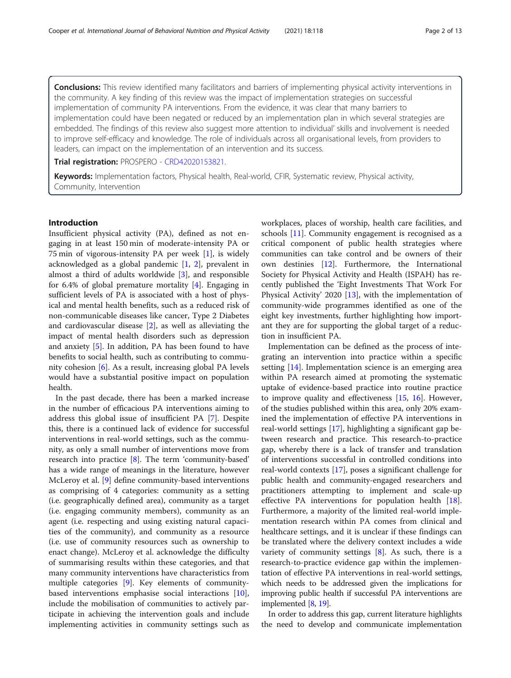**Conclusions:** This review identified many facilitators and barriers of implementing physical activity interventions in the community. A key finding of this review was the impact of implementation strategies on successful implementation of community PA interventions. From the evidence, it was clear that many barriers to implementation could have been negated or reduced by an implementation plan in which several strategies are embedded. The findings of this review also suggest more attention to individual' skills and involvement is needed to improve self-efficacy and knowledge. The role of individuals across all organisational levels, from providers to leaders, can impact on the implementation of an intervention and its success.

Trial registration: PROSPERO - [CRD42020153821.](https://www.crd.york.ac.uk/prospero/display_record.php?RecordID=153821)

Keywords: Implementation factors, Physical health, Real-world, CFIR, Systematic review, Physical activity, Community, Intervention

# Introduction

Insufficient physical activity (PA), defined as not engaging in at least 150 min of moderate-intensity PA or 75 min of vigorous-intensity PA per week [[1\]](#page-11-0), is widely acknowledged as a global pandemic [\[1,](#page-11-0) [2](#page-11-0)], prevalent in almost a third of adults worldwide [[3\]](#page-11-0), and responsible for 6.4% of global premature mortality [[4\]](#page-11-0). Engaging in sufficient levels of PA is associated with a host of physical and mental health benefits, such as a reduced risk of non-communicable diseases like cancer, Type 2 Diabetes and cardiovascular disease [[2\]](#page-11-0), as well as alleviating the impact of mental health disorders such as depression and anxiety [\[5](#page-11-0)]. In addition, PA has been found to have benefits to social health, such as contributing to community cohesion [[6\]](#page-11-0). As a result, increasing global PA levels would have a substantial positive impact on population health.

In the past decade, there has been a marked increase in the number of efficacious PA interventions aiming to address this global issue of insufficient PA [\[7](#page-11-0)]. Despite this, there is a continued lack of evidence for successful interventions in real-world settings, such as the community, as only a small number of interventions move from research into practice [[8\]](#page-11-0). The term 'community-based' has a wide range of meanings in the literature, however McLeroy et al. [[9\]](#page-11-0) define community-based interventions as comprising of 4 categories: community as a setting (i.e. geographically defined area), community as a target (i.e. engaging community members), community as an agent (i.e. respecting and using existing natural capacities of the community), and community as a resource (i.e. use of community resources such as ownership to enact change). McLeroy et al. acknowledge the difficulty of summarising results within these categories, and that many community interventions have characteristics from multiple categories [\[9](#page-11-0)]. Key elements of communitybased interventions emphasise social interactions [\[10](#page-11-0)], include the mobilisation of communities to actively participate in achieving the intervention goals and include implementing activities in community settings such as workplaces, places of worship, health care facilities, and schools [[11](#page-11-0)]. Community engagement is recognised as a critical component of public health strategies where communities can take control and be owners of their own destinies [[12](#page-11-0)]. Furthermore, the International Society for Physical Activity and Health (ISPAH) has recently published the 'Eight Investments That Work For Physical Activity' 2020 [\[13\]](#page-11-0), with the implementation of community-wide programmes identified as one of the eight key investments, further highlighting how important they are for supporting the global target of a reduction in insufficient PA.

Implementation can be defined as the process of integrating an intervention into practice within a specific setting [\[14](#page-11-0)]. Implementation science is an emerging area within PA research aimed at promoting the systematic uptake of evidence-based practice into routine practice to improve quality and effectiveness [\[15](#page-11-0), [16](#page-11-0)]. However, of the studies published within this area, only 20% examined the implementation of effective PA interventions in real-world settings [[17](#page-11-0)], highlighting a significant gap between research and practice. This research-to-practice gap, whereby there is a lack of transfer and translation of interventions successful in controlled conditions into real-world contexts [\[17\]](#page-11-0), poses a significant challenge for public health and community-engaged researchers and practitioners attempting to implement and scale-up effective PA interventions for population health [\[18](#page-11-0)]. Furthermore, a majority of the limited real-world implementation research within PA comes from clinical and healthcare settings, and it is unclear if these findings can be translated where the delivery context includes a wide variety of community settings  $[8]$  $[8]$ . As such, there is a research-to-practice evidence gap within the implementation of effective PA interventions in real-world settings, which needs to be addressed given the implications for improving public health if successful PA interventions are implemented [\[8,](#page-11-0) [19\]](#page-11-0).

In order to address this gap, current literature highlights the need to develop and communicate implementation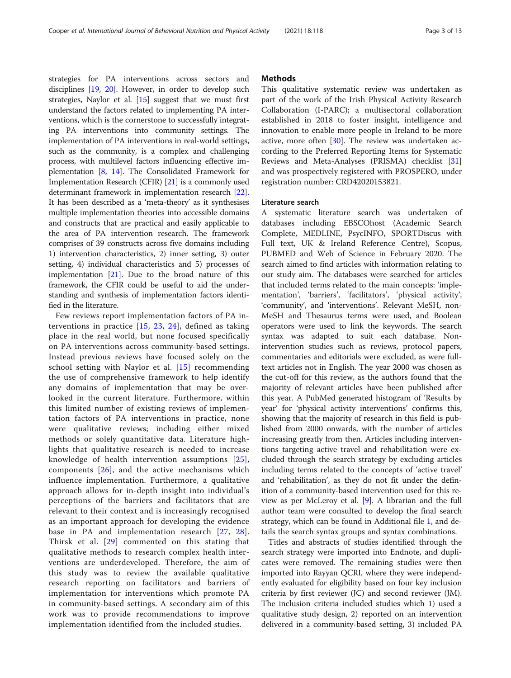strategies for PA interventions across sectors and disciplines [\[19,](#page-11-0) [20](#page-11-0)]. However, in order to develop such strategies, Naylor et al. [[15](#page-11-0)] suggest that we must first understand the factors related to implementing PA interventions, which is the cornerstone to successfully integrating PA interventions into community settings. The implementation of PA interventions in real-world settings, such as the community, is a complex and challenging process, with multilevel factors influencing effective implementation [[8,](#page-11-0) [14](#page-11-0)]. The Consolidated Framework for Implementation Research (CFIR) [\[21\]](#page-11-0) is a commonly used determinant framework in implementation research [[22](#page-11-0)]. It has been described as a 'meta-theory' as it synthesises multiple implementation theories into accessible domains and constructs that are practical and easily applicable to the area of PA intervention research. The framework comprises of 39 constructs across five domains including 1) intervention characteristics, 2) inner setting, 3) outer setting, 4) individual characteristics and 5) processes of implementation [[21](#page-11-0)]. Due to the broad nature of this framework, the CFIR could be useful to aid the understanding and synthesis of implementation factors identified in the literature.

Few reviews report implementation factors of PA interventions in practice [\[15,](#page-11-0) [23](#page-11-0), [24](#page-11-0)], defined as taking place in the real world, but none focused specifically on PA interventions across community-based settings. Instead previous reviews have focused solely on the school setting with Naylor et al. [[15\]](#page-11-0) recommending the use of comprehensive framework to help identify any domains of implementation that may be overlooked in the current literature. Furthermore, within this limited number of existing reviews of implementation factors of PA interventions in practice, none were qualitative reviews; including either mixed methods or solely quantitative data. Literature highlights that qualitative research is needed to increase knowledge of health intervention assumptions [[25](#page-11-0)], components [\[26\]](#page-11-0), and the active mechanisms which influence implementation. Furthermore, a qualitative approach allows for in-depth insight into individual's perceptions of the barriers and facilitators that are relevant to their context and is increasingly recognised as an important approach for developing the evidence base in PA and implementation research [[27](#page-11-0), [28](#page-11-0)]. Thirsk et al. [[29](#page-11-0)] commented on this stating that qualitative methods to research complex health interventions are underdeveloped. Therefore, the aim of this study was to review the available qualitative research reporting on facilitators and barriers of implementation for interventions which promote PA in community-based settings. A secondary aim of this work was to provide recommendations to improve implementation identified from the included studies.

# **Methods**

This qualitative systematic review was undertaken as part of the work of the Irish Physical Activity Research Collaboration (I-PARC); a multisectoral collaboration established in 2018 to foster insight, intelligence and innovation to enable more people in Ireland to be more active, more often [\[30](#page-11-0)]. The review was undertaken according to the Preferred Reporting Items for Systematic Reviews and Meta-Analyses (PRISMA) checklist [[31](#page-11-0)] and was prospectively registered with PROSPERO, under registration number: CRD42020153821.

#### Literature search

A systematic literature search was undertaken of databases including EBSCOhost (Academic Search Complete, MEDLINE, PsycINFO, SPORTDiscus with Full text, UK & Ireland Reference Centre), Scopus, PUBMED and Web of Science in February 2020. The search aimed to find articles with information relating to our study aim. The databases were searched for articles that included terms related to the main concepts: 'implementation', 'barriers', 'facilitators', 'physical activity', 'community', and 'interventions'. Relevant MeSH, non-MeSH and Thesaurus terms were used, and Boolean operators were used to link the keywords. The search syntax was adapted to suit each database. Nonintervention studies such as reviews, protocol papers, commentaries and editorials were excluded, as were fulltext articles not in English. The year 2000 was chosen as the cut-off for this review, as the authors found that the majority of relevant articles have been published after this year. A PubMed generated histogram of 'Results by year' for 'physical activity interventions' confirms this, showing that the majority of research in this field is published from 2000 onwards, with the number of articles increasing greatly from then. Articles including interventions targeting active travel and rehabilitation were excluded through the search strategy by excluding articles including terms related to the concepts of 'active travel' and 'rehabilitation', as they do not fit under the definition of a community-based intervention used for this review as per McLeroy et al. [\[9](#page-11-0)]. A librarian and the full author team were consulted to develop the final search strategy, which can be found in Additional file [1](#page-10-0), and details the search syntax groups and syntax combinations.

Titles and abstracts of studies identified through the search strategy were imported into Endnote, and duplicates were removed. The remaining studies were then imported into Rayyan QCRI, where they were independently evaluated for eligibility based on four key inclusion criteria by first reviewer (JC) and second reviewer (JM). The inclusion criteria included studies which 1) used a qualitative study design, 2) reported on an intervention delivered in a community-based setting, 3) included PA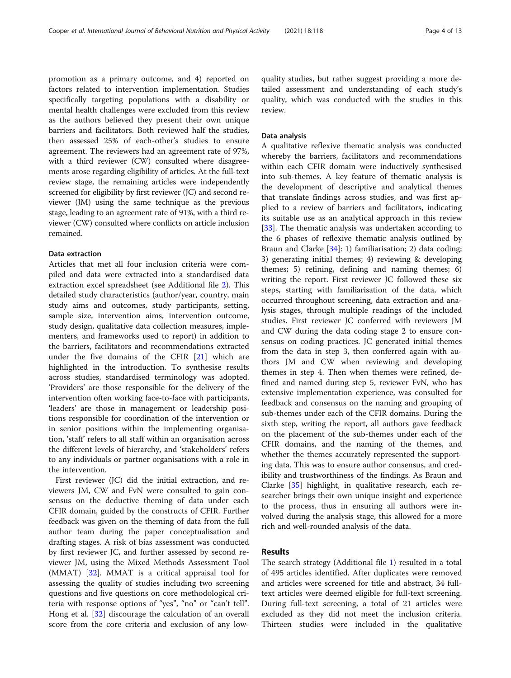promotion as a primary outcome, and 4) reported on factors related to intervention implementation. Studies specifically targeting populations with a disability or mental health challenges were excluded from this review as the authors believed they present their own unique barriers and facilitators. Both reviewed half the studies, then assessed 25% of each-other's studies to ensure agreement. The reviewers had an agreement rate of 97%, with a third reviewer (CW) consulted where disagreements arose regarding eligibility of articles. At the full-text review stage, the remaining articles were independently screened for eligibility by first reviewer (JC) and second reviewer (JM) using the same technique as the previous stage, leading to an agreement rate of 91%, with a third reviewer (CW) consulted where conflicts on article inclusion remained.

# Data extraction

Articles that met all four inclusion criteria were compiled and data were extracted into a standardised data extraction excel spreadsheet (see Additional file [2\)](#page-10-0). This detailed study characteristics (author/year, country, main study aims and outcomes, study participants, setting, sample size, intervention aims, intervention outcome, study design, qualitative data collection measures, implementers, and frameworks used to report) in addition to the barriers, facilitators and recommendations extracted under the five domains of the CFIR [[21\]](#page-11-0) which are highlighted in the introduction. To synthesise results across studies, standardised terminology was adopted. 'Providers' are those responsible for the delivery of the intervention often working face-to-face with participants, 'leaders' are those in management or leadership positions responsible for coordination of the intervention or in senior positions within the implementing organisation, 'staff' refers to all staff within an organisation across the different levels of hierarchy, and 'stakeholders' refers to any individuals or partner organisations with a role in the intervention.

First reviewer (JC) did the initial extraction, and reviewers JM, CW and FvN were consulted to gain consensus on the deductive theming of data under each CFIR domain, guided by the constructs of CFIR. Further feedback was given on the theming of data from the full author team during the paper conceptualisation and drafting stages. A risk of bias assessment was conducted by first reviewer JC, and further assessed by second reviewer JM, using the Mixed Methods Assessment Tool (MMAT) [\[32](#page-11-0)]. MMAT is a critical appraisal tool for assessing the quality of studies including two screening questions and five questions on core methodological criteria with response options of "yes", "no" or "can't tell". Hong et al. [\[32\]](#page-11-0) discourage the calculation of an overall score from the core criteria and exclusion of any lowquality studies, but rather suggest providing a more detailed assessment and understanding of each study's quality, which was conducted with the studies in this review.

## Data analysis

A qualitative reflexive thematic analysis was conducted whereby the barriers, facilitators and recommendations within each CFIR domain were inductively synthesised into sub-themes. A key feature of thematic analysis is the development of descriptive and analytical themes that translate findings across studies, and was first applied to a review of barriers and facilitators, indicating its suitable use as an analytical approach in this review [[33\]](#page-11-0). The thematic analysis was undertaken according to the 6 phases of reflexive thematic analysis outlined by Braun and Clarke [[34\]](#page-11-0): 1) familiarisation; 2) data coding; 3) generating initial themes; 4) reviewing & developing themes; 5) refining, defining and naming themes; 6) writing the report. First reviewer JC followed these six steps, starting with familiarisation of the data, which occurred throughout screening, data extraction and analysis stages, through multiple readings of the included studies. First reviewer JC conferred with reviewers JM and CW during the data coding stage 2 to ensure consensus on coding practices. JC generated initial themes from the data in step 3, then conferred again with authors JM and CW when reviewing and developing themes in step 4. Then when themes were refined, defined and named during step 5, reviewer FvN, who has extensive implementation experience, was consulted for feedback and consensus on the naming and grouping of sub-themes under each of the CFIR domains. During the sixth step, writing the report, all authors gave feedback on the placement of the sub-themes under each of the CFIR domains, and the naming of the themes, and whether the themes accurately represented the supporting data. This was to ensure author consensus, and credibility and trustworthiness of the findings. As Braun and Clarke [[35](#page-11-0)] highlight, in qualitative research, each researcher brings their own unique insight and experience to the process, thus in ensuring all authors were involved during the analysis stage, this allowed for a more rich and well-rounded analysis of the data.

# Results

The search strategy (Additional file [1\)](#page-10-0) resulted in a total of 495 articles identified. After duplicates were removed and articles were screened for title and abstract, 34 fulltext articles were deemed eligible for full-text screening. During full-text screening, a total of 21 articles were excluded as they did not meet the inclusion criteria. Thirteen studies were included in the qualitative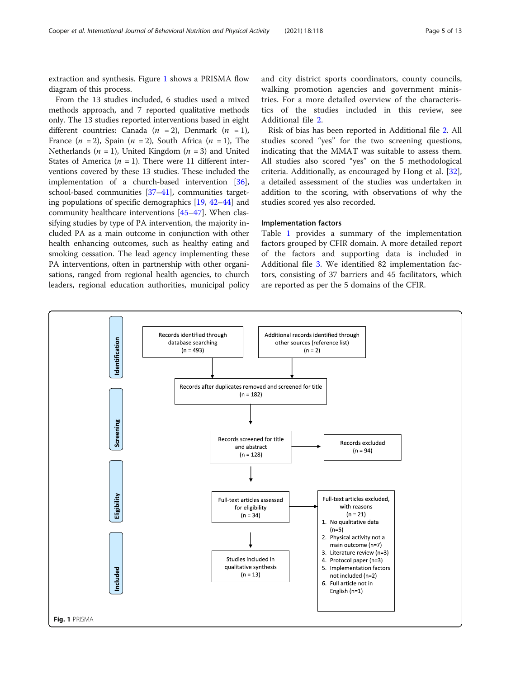extraction and synthesis. Figure 1 shows a PRISMA flow diagram of this process.

From the 13 studies included, 6 studies used a mixed methods approach, and 7 reported qualitative methods only. The 13 studies reported interventions based in eight different countries: Canada  $(n = 2)$ , Denmark  $(n = 1)$ , France  $(n = 2)$ , Spain  $(n = 2)$ , South Africa  $(n = 1)$ , The Netherlands ( $n = 1$ ), United Kingdom ( $n = 3$ ) and United States of America ( $n = 1$ ). There were 11 different interventions covered by these 13 studies. These included the implementation of a church-based intervention [[36](#page-11-0)], school-based communities [[37](#page-11-0)–[41\]](#page-12-0), communities targeting populations of specific demographics [\[19,](#page-11-0) [42](#page-12-0)–[44](#page-12-0)] and community healthcare interventions [\[45](#page-12-0)–[47](#page-12-0)]. When classifying studies by type of PA intervention, the majority included PA as a main outcome in conjunction with other health enhancing outcomes, such as healthy eating and smoking cessation. The lead agency implementing these PA interventions, often in partnership with other organisations, ranged from regional health agencies, to church leaders, regional education authorities, municipal policy and city district sports coordinators, county councils, walking promotion agencies and government ministries. For a more detailed overview of the characteristics of the studies included in this review, see Additional file [2](#page-10-0).

Risk of bias has been reported in Additional file [2.](#page-10-0) All studies scored "yes" for the two screening questions, indicating that the MMAT was suitable to assess them. All studies also scored "yes" on the 5 methodological criteria. Additionally, as encouraged by Hong et al. [\[32](#page-11-0)], a detailed assessment of the studies was undertaken in addition to the scoring, with observations of why the studies scored yes also recorded.

#### Implementation factors

Table [1](#page-5-0) provides a summary of the implementation factors grouped by CFIR domain. A more detailed report of the factors and supporting data is included in Additional file [3](#page-10-0). We identified 82 implementation factors, consisting of 37 barriers and 45 facilitators, which are reported as per the 5 domains of the CFIR.

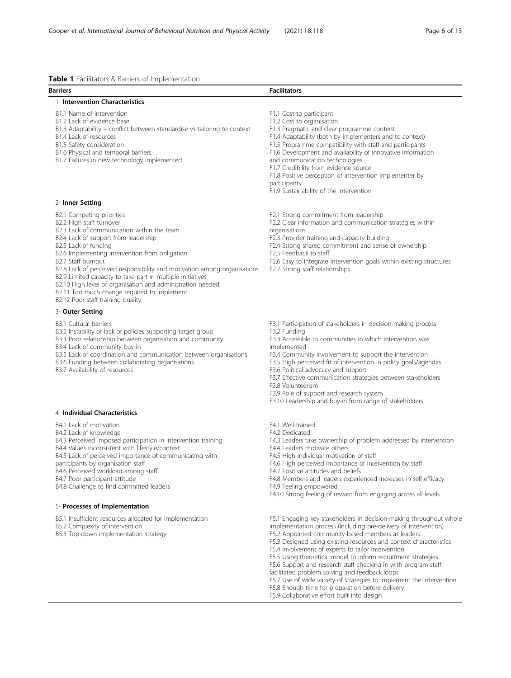<span id="page-5-0"></span>

| <b>Table 1</b> Facilitators & Barriers of Implementation                                                                                                                                                                                                                                                                                                                                                                                                                                                                                |                                                                                                                                                                                                                                                                                                                                                                                                                                                                                                                         |
|-----------------------------------------------------------------------------------------------------------------------------------------------------------------------------------------------------------------------------------------------------------------------------------------------------------------------------------------------------------------------------------------------------------------------------------------------------------------------------------------------------------------------------------------|-------------------------------------------------------------------------------------------------------------------------------------------------------------------------------------------------------------------------------------------------------------------------------------------------------------------------------------------------------------------------------------------------------------------------------------------------------------------------------------------------------------------------|
| <b>Barriers</b>                                                                                                                                                                                                                                                                                                                                                                                                                                                                                                                         | <b>Facilitators</b>                                                                                                                                                                                                                                                                                                                                                                                                                                                                                                     |
| 1- Intervention Characteristics                                                                                                                                                                                                                                                                                                                                                                                                                                                                                                         |                                                                                                                                                                                                                                                                                                                                                                                                                                                                                                                         |
| B1.1 Name of intervention<br>B1.2 Lack of evidence base<br>B1.3 Adaptability - conflict between standardise vs tailoring to context<br>B1.4 Lack of resources<br>B1.5 Safety consideration<br>B1.6 Physical and temporal barriers<br>B1.7 Failures in new technology implemented                                                                                                                                                                                                                                                        | F1.1 Cost to participant<br>F1.2 Cost to organisation<br>F1.3 Pragmatic and clear programme content<br>F1.4 Adaptability (both by implementers and to context)<br>F1.5 Programme compatibility with staff and participants<br>F1.6 Development and availability of innovative information<br>and communication technologies<br>F1.7 Credibility from evidence source<br>F1.8 Positive perception of intervention implementer by<br>participants<br>F1.9 Sustainability of the intervention                              |
| 2- Inner Setting                                                                                                                                                                                                                                                                                                                                                                                                                                                                                                                        |                                                                                                                                                                                                                                                                                                                                                                                                                                                                                                                         |
| B2.1 Competing priorities<br>B2.2 High staff turnover<br>B2.3 Lack of communication within the team<br>B2.4 Lack of support from leadership<br>B2.5 Lack of funding<br>B2.6 Implementing intervention from obligation<br>B2.7 Staff burnout<br>B2.8 Lack of perceived responsibility and motivation among organisations<br>B2.9 Limited capacity to take part in multiple initiatives<br>B2.10 High level of organisation and administration needed<br>B2.11 Too much change required to implement<br>B2.12 Poor staff training quality | F2.1 Strong commitment from leadership<br>F2.2 Clear information and communication strategies within<br>organisations<br>F2.3 Provider training and capacity building<br>F2.4 Strong shared commitment and sense of ownership<br>F2.5 Feedback to staff<br>F2.6 Easy to integrate intervention goals within existing structures<br>F2.7 Strong staff relationships                                                                                                                                                      |
| 3- Outer Setting                                                                                                                                                                                                                                                                                                                                                                                                                                                                                                                        |                                                                                                                                                                                                                                                                                                                                                                                                                                                                                                                         |
| <b>B3.1 Cultural barriers</b><br>B3.2 Instability or lack of policies supporting target group<br>B3.3 Poor relationship between organisation and community<br>B3.4 Lack of community buy-in<br>B3.5 Lack of coordination and communication between organisations<br>B3.6 Funding between collaborating organisations<br>B3.7 Availability of resources                                                                                                                                                                                  | F3.1 Participation of stakeholders in decision-making process<br>F3.2 Funding<br>F3.3 Accessible to communities in which intervention was<br>implemented<br>F3.4 Community involvement to support the intervention<br>F3.5 High perceived fit of intervention in policy goals/agendas<br>F3.6 Political advocacy and support<br>F3.7 Effective communication strategies between stakeholders<br>F3.8 Volunteerism<br>F3.9 Role of support and research system<br>F3.10 Leadership and buy-in from range of stakeholders |
| 4- Individual Characteristics                                                                                                                                                                                                                                                                                                                                                                                                                                                                                                           |                                                                                                                                                                                                                                                                                                                                                                                                                                                                                                                         |
| B4.1 Lack of motivation<br>B4.2 Lack of knowledge<br>B4.3 Perceived imposed participation in intervention training<br>B4.4 Values inconsistent with lifestyle/context<br>B4.5 Lack of perceived importance of communicating with<br>participants by organisation staff<br>B4.6 Perceived workload among staff<br>B4.7 Poor participant attitude<br>B4.8 Challenge to find committed leaders                                                                                                                                             | F4.1 Well-trained<br>F4.2 Dedicated<br>F4.3 Leaders take ownership of problem addressed by intervention<br>F4.4 Leaders motivate others<br>F4.5 High individual motivation of staff<br>F4.6 High perceived importance of intervention by staff<br>F4.7 Positive attitudes and beliefs<br>F4.8 Members and leaders experienced increases in self-efficacy<br>F4.9 Feeling empowered<br>F4.10 Strong feeling of reward from engaging across all levels                                                                    |
| 5- Processes of Implementation                                                                                                                                                                                                                                                                                                                                                                                                                                                                                                          |                                                                                                                                                                                                                                                                                                                                                                                                                                                                                                                         |
| B5.1 Insufficient resources allocated for implementation                                                                                                                                                                                                                                                                                                                                                                                                                                                                                | F5.1 Engaging key stakeholders in decision-making throughout whole                                                                                                                                                                                                                                                                                                                                                                                                                                                      |

B5.2 Complexity of intervention

B5.3 Top-down implementation strategy

implementation process (Including pre-delivery of intervention) F5.2 Appointed community-based members as leaders

F5.3 Designed using existing resources and context characteristics

- F5.4 Involvement of experts to tailor intervention
- F5.5 Using theoretical model to inform recruitment strategies F5.6 Support and research staff checking in with program staff
- facilitated problem solving and feedback loops
- F5.7 Use of wide variety of strategies to implement the intervention
- F5.8 Enough time for preparation before delivery
- F5.9 Collaborative effort built into design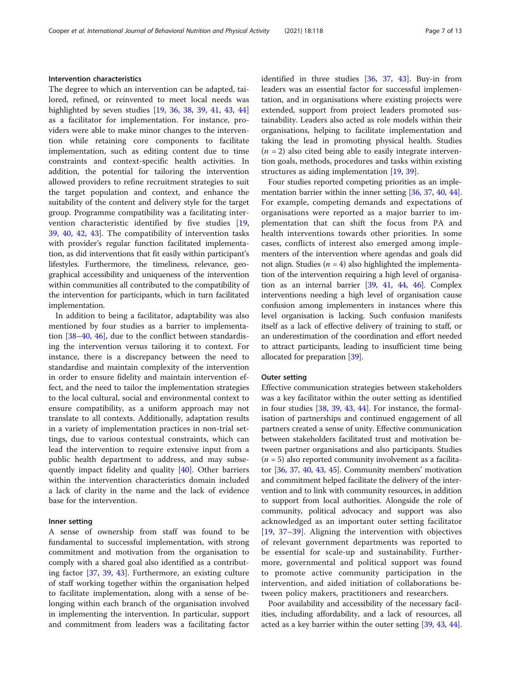# Intervention characteristics

The degree to which an intervention can be adapted, tailored, refined, or reinvented to meet local needs was highlighted by seven studies [[19,](#page-11-0) [36,](#page-11-0) [38,](#page-11-0) [39,](#page-12-0) [41](#page-12-0), [43](#page-12-0), [44](#page-12-0)] as a facilitator for implementation. For instance, providers were able to make minor changes to the intervention while retaining core components to facilitate implementation, such as editing content due to time constraints and context-specific health activities. In addition, the potential for tailoring the intervention allowed providers to refine recruitment strategies to suit the target population and context, and enhance the suitability of the content and delivery style for the target group. Programme compatibility was a facilitating intervention characteristic identified by five studies [\[19](#page-11-0), [39,](#page-12-0) [40,](#page-12-0) [42](#page-12-0), [43](#page-12-0)]. The compatibility of intervention tasks with provider's regular function facilitated implementation, as did interventions that fit easily within participant's lifestyles. Furthermore, the timeliness, relevance, geographical accessibility and uniqueness of the intervention within communities all contributed to the compatibility of the intervention for participants, which in turn facilitated implementation.

In addition to being a facilitator, adaptability was also mentioned by four studies as a barrier to implementation [\[38](#page-11-0)–[40,](#page-12-0) [46](#page-12-0)], due to the conflict between standardising the intervention versus tailoring it to context. For instance, there is a discrepancy between the need to standardise and maintain complexity of the intervention in order to ensure fidelity and maintain intervention effect, and the need to tailor the implementation strategies to the local cultural, social and environmental context to ensure compatibility, as a uniform approach may not translate to all contexts. Additionally, adaptation results in a variety of implementation practices in non-trial settings, due to various contextual constraints, which can lead the intervention to require extensive input from a public health department to address, and may subsequently impact fidelity and quality [[40\]](#page-12-0). Other barriers within the intervention characteristics domain included a lack of clarity in the name and the lack of evidence base for the intervention.

### Inner setting

A sense of ownership from staff was found to be fundamental to successful implementation, with strong commitment and motivation from the organisation to comply with a shared goal also identified as a contributing factor [[37,](#page-11-0) [39,](#page-12-0) [43](#page-12-0)]. Furthermore, an existing culture of staff working together within the organisation helped to facilitate implementation, along with a sense of belonging within each branch of the organisation involved in implementing the intervention. In particular, support and commitment from leaders was a facilitating factor identified in three studies [[36,](#page-11-0) [37,](#page-11-0) [43](#page-12-0)]. Buy-in from leaders was an essential factor for successful implementation, and in organisations where existing projects were extended, support from project leaders promoted sustainability. Leaders also acted as role models within their organisations, helping to facilitate implementation and taking the lead in promoting physical health. Studies  $(n = 2)$  also cited being able to easily integrate intervention goals, methods, procedures and tasks within existing structures as aiding implementation [\[19,](#page-11-0) [39\]](#page-12-0).

Four studies reported competing priorities as an imple-mentation barrier within the inner setting [[36](#page-11-0), [37,](#page-11-0) [40,](#page-12-0) [44](#page-12-0)]. For example, competing demands and expectations of organisations were reported as a major barrier to implementation that can shift the focus from PA and health interventions towards other priorities. In some cases, conflicts of interest also emerged among implementers of the intervention where agendas and goals did not align. Studies ( $n = 4$ ) also highlighted the implementation of the intervention requiring a high level of organisation as an internal barrier [[39](#page-12-0), [41,](#page-12-0) [44,](#page-12-0) [46](#page-12-0)]. Complex interventions needing a high level of organisation cause confusion among implementers in instances where this level organisation is lacking. Such confusion manifests itself as a lack of effective delivery of training to staff, or an underestimation of the coordination and effort needed to attract participants, leading to insufficient time being allocated for preparation [[39](#page-12-0)].

### Outer setting

Effective communication strategies between stakeholders was a key facilitator within the outer setting as identified in four studies [\[38,](#page-11-0) [39](#page-12-0), [43,](#page-12-0) [44\]](#page-12-0). For instance, the formalisation of partnerships and continued engagement of all partners created a sense of unity. Effective communication between stakeholders facilitated trust and motivation between partner organisations and also participants. Studies  $(n = 5)$  also reported community involvement as a facilitator [[36,](#page-11-0) [37,](#page-11-0) [40,](#page-12-0) [43,](#page-12-0) [45\]](#page-12-0). Community members' motivation and commitment helped facilitate the delivery of the intervention and to link with community resources, in addition to support from local authorities. Alongside the role of community, political advocacy and support was also acknowledged as an important outer setting facilitator [[19,](#page-11-0) [37](#page-11-0)–[39\]](#page-12-0). Aligning the intervention with objectives of relevant government departments was reported to be essential for scale-up and sustainability. Furthermore, governmental and political support was found to promote active community participation in the intervention, and aided initiation of collaborations between policy makers, practitioners and researchers.

Poor availability and accessibility of the necessary facilities, including affordability, and a lack of resources, all acted as a key barrier within the outer setting [\[39,](#page-12-0) [43,](#page-12-0) [44](#page-12-0)].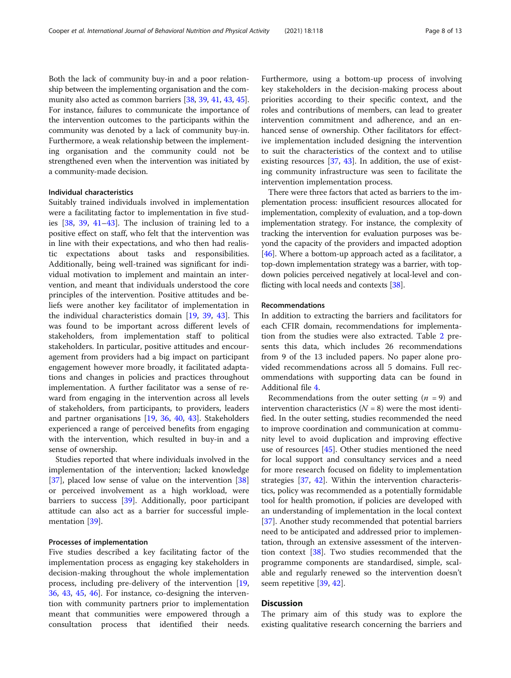Both the lack of community buy-in and a poor relationship between the implementing organisation and the community also acted as common barriers [\[38,](#page-11-0) [39](#page-12-0), [41](#page-12-0), [43,](#page-12-0) [45](#page-12-0)]. For instance, failures to communicate the importance of the intervention outcomes to the participants within the community was denoted by a lack of community buy-in. Furthermore, a weak relationship between the implementing organisation and the community could not be strengthened even when the intervention was initiated by a community-made decision.

# Individual characteristics

Suitably trained individuals involved in implementation were a facilitating factor to implementation in five studies [\[38](#page-11-0), [39,](#page-12-0) [41](#page-12-0)–[43](#page-12-0)]. The inclusion of training led to a positive effect on staff, who felt that the intervention was in line with their expectations, and who then had realistic expectations about tasks and responsibilities. Additionally, being well-trained was significant for individual motivation to implement and maintain an intervention, and meant that individuals understood the core principles of the intervention. Positive attitudes and beliefs were another key facilitator of implementation in the individual characteristics domain [[19,](#page-11-0) [39](#page-12-0), [43\]](#page-12-0). This was found to be important across different levels of stakeholders, from implementation staff to political stakeholders. In particular, positive attitudes and encouragement from providers had a big impact on participant engagement however more broadly, it facilitated adaptations and changes in policies and practices throughout implementation. A further facilitator was a sense of reward from engaging in the intervention across all levels of stakeholders, from participants, to providers, leaders and partner organisations [\[19](#page-11-0), [36](#page-11-0), [40](#page-12-0), [43](#page-12-0)]. Stakeholders experienced a range of perceived benefits from engaging with the intervention, which resulted in buy-in and a sense of ownership.

Studies reported that where individuals involved in the implementation of the intervention; lacked knowledge [[37\]](#page-11-0), placed low sense of value on the intervention [[38](#page-11-0)] or perceived involvement as a high workload, were barriers to success [[39](#page-12-0)]. Additionally, poor participant attitude can also act as a barrier for successful implementation [[39](#page-12-0)].

# Processes of implementation

Five studies described a key facilitating factor of the implementation process as engaging key stakeholders in decision-making throughout the whole implementation process, including pre-delivery of the intervention [[19](#page-11-0), [36,](#page-11-0) [43](#page-12-0), [45](#page-12-0), [46](#page-12-0)]. For instance, co-designing the intervention with community partners prior to implementation meant that communities were empowered through a consultation process that identified their needs.

Furthermore, using a bottom-up process of involving key stakeholders in the decision-making process about priorities according to their specific context, and the roles and contributions of members, can lead to greater intervention commitment and adherence, and an enhanced sense of ownership. Other facilitators for effective implementation included designing the intervention to suit the characteristics of the context and to utilise existing resources [\[37,](#page-11-0) [43](#page-12-0)]. In addition, the use of existing community infrastructure was seen to facilitate the intervention implementation process.

There were three factors that acted as barriers to the implementation process: insufficient resources allocated for implementation, complexity of evaluation, and a top-down implementation strategy. For instance, the complexity of tracking the intervention for evaluation purposes was beyond the capacity of the providers and impacted adoption [[46](#page-12-0)]. Where a bottom-up approach acted as a facilitator, a top-down implementation strategy was a barrier, with topdown policies perceived negatively at local-level and conflicting with local needs and contexts [\[38\]](#page-11-0).

#### Recommendations

In addition to extracting the barriers and facilitators for each CFIR domain, recommendations for implementation from the studies were also extracted. Table [2](#page-8-0) presents this data, which includes 26 recommendations from 9 of the 13 included papers. No paper alone provided recommendations across all 5 domains. Full recommendations with supporting data can be found in Additional file [4](#page-10-0).

Recommendations from the outer setting  $(n = 9)$  and intervention characteristics  $(N = 8)$  were the most identified. In the outer setting, studies recommended the need to improve coordination and communication at community level to avoid duplication and improving effective use of resources [\[45\]](#page-12-0). Other studies mentioned the need for local support and consultancy services and a need for more research focused on fidelity to implementation strategies [\[37](#page-11-0), [42](#page-12-0)]. Within the intervention characteristics, policy was recommended as a potentially formidable tool for health promotion, if policies are developed with an understanding of implementation in the local context [[37\]](#page-11-0). Another study recommended that potential barriers need to be anticipated and addressed prior to implementation, through an extensive assessment of the intervention context [\[38](#page-11-0)]. Two studies recommended that the programme components are standardised, simple, scalable and regularly renewed so the intervention doesn't seem repetitive [[39](#page-12-0), [42](#page-12-0)].

# **Discussion**

The primary aim of this study was to explore the existing qualitative research concerning the barriers and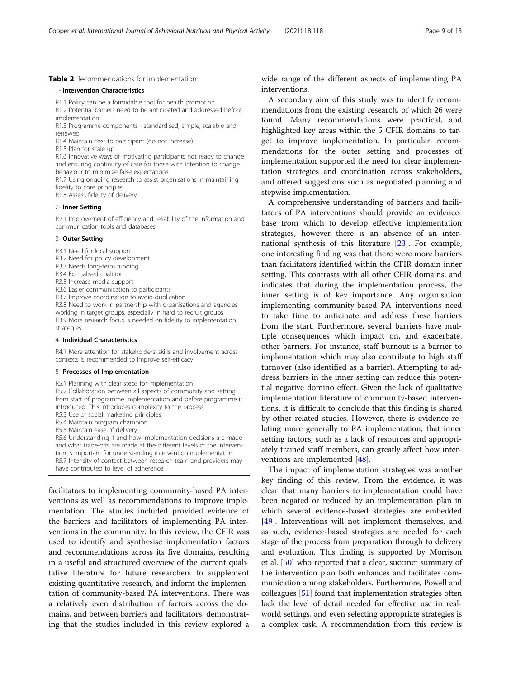#### <span id="page-8-0"></span>Table 2 Recommendations for Implementation

#### 1- Intervention Characteristics

- R1.1 Policy can be a formidable tool for health promotion
- R1.2 Potential barriers need to be anticipated and addressed before implementation

R1.3 Programme components - standardised, simple, scalable and renewed

R1.4 Maintain cost to participant (do not increase)

R1.5 Plan for scale up

R1.6 Innovative ways of motivating participants not ready to change and ensuring continuity of care for those with intention to change behaviour to minimize false expectations

R1.7 Using ongoing research to assist organisations in maintaining fidelity to core principles

R1.8 Assess fidelity of delivery

#### 2- Inner Setting

R2.1 Improvement of efficiency and reliability of the information and communication tools and databases

#### 3- Outer Setting

- R3.1 Need for local support
- R3.2 Need for policy development
- R3.3 Needs long-term funding
- R3.4 Formalised coalition
- R3.5 Increase media support
- R3.6 Easier communication to participants
- R3.7 Improve coordination to avoid duplication

R3.8 Need to work in partnership with organisations and agencies working in target groups, especially in hard to recruit groups R3.9 More research focus is needed on fidelity to implementation strategies

#### 4- Individual Characteristics

R4.1 More attention for stakeholders' skills and involvement across contexts is recommended to improve self-efficacy

#### 5- Processes of Implementation

R5.1 Planning with clear steps for implementation

R5.2 Collaboration between all aspects of community and setting from start of programme implementation and before programme is introduced. This introduces complexity to the process R5.3 Use of social marketing principles

- R5.4 Maintain program champion
- R5.5 Maintain ease of delivery

R5.6 Understanding if and how implementation decisions are made and what trade-offs are made at the different levels of the intervention is important for understanding intervention implementation R5.7 Intensity of contact between research team and providers may have contributed to level of adherence

facilitators to implementing community-based PA interventions as well as recommendations to improve implementation. The studies included provided evidence of the barriers and facilitators of implementing PA interventions in the community. In this review, the CFIR was used to identify and synthesise implementation factors and recommendations across its five domains, resulting in a useful and structured overview of the current qualitative literature for future researchers to supplement existing quantitative research, and inform the implementation of community-based PA interventions. There was a relatively even distribution of factors across the domains, and between barriers and facilitators, demonstrating that the studies included in this review explored a

wide range of the different aspects of implementing PA interventions.

A secondary aim of this study was to identify recommendations from the existing research, of which 26 were found. Many recommendations were practical, and highlighted key areas within the 5 CFIR domains to target to improve implementation. In particular, recommendations for the outer setting and processes of implementation supported the need for clear implementation strategies and coordination across stakeholders, and offered suggestions such as negotiated planning and stepwise implementation.

A comprehensive understanding of barriers and facilitators of PA interventions should provide an evidencebase from which to develop effective implementation strategies, however there is an absence of an international synthesis of this literature [\[23](#page-11-0)]. For example, one interesting finding was that there were more barriers than facilitators identified within the CFIR domain inner setting. This contrasts with all other CFIR domains, and indicates that during the implementation process, the inner setting is of key importance. Any organisation implementing community-based PA interventions need to take time to anticipate and address these barriers from the start. Furthermore, several barriers have multiple consequences which impact on, and exacerbate, other barriers. For instance, staff burnout is a barrier to implementation which may also contribute to high staff turnover (also identified as a barrier). Attempting to address barriers in the inner setting can reduce this potential negative domino effect. Given the lack of qualitative implementation literature of community-based interventions, it is difficult to conclude that this finding is shared by other related studies. However, there is evidence relating more generally to PA implementation, that inner setting factors, such as a lack of resources and appropriately trained staff members, can greatly affect how interventions are implemented [\[48](#page-12-0)].

The impact of implementation strategies was another key finding of this review. From the evidence, it was clear that many barriers to implementation could have been negated or reduced by an implementation plan in which several evidence-based strategies are embedded [[49\]](#page-12-0). Interventions will not implement themselves, and as such, evidence-based strategies are needed for each stage of the process from preparation through to delivery and evaluation. This finding is supported by Morrison et al. [\[50\]](#page-12-0) who reported that a clear, succinct summary of the intervention plan both enhances and facilitates communication among stakeholders. Furthermore, Powell and colleagues [\[51\]](#page-12-0) found that implementation strategies often lack the level of detail needed for effective use in realworld settings, and even selecting appropriate strategies is a complex task. A recommendation from this review is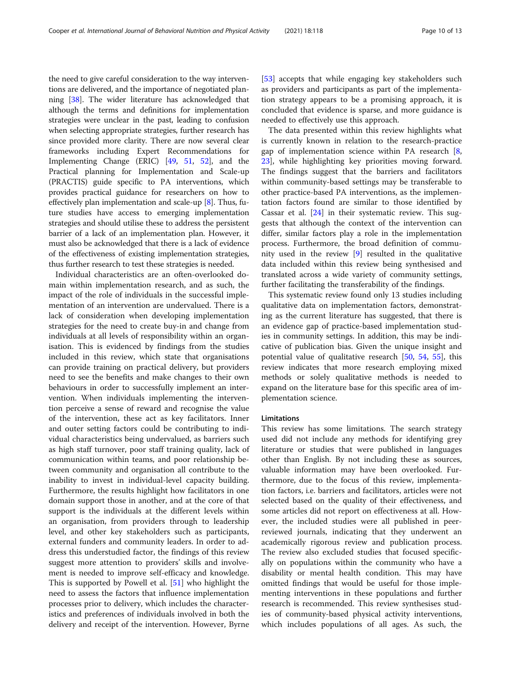the need to give careful consideration to the way interventions are delivered, and the importance of negotiated planning [\[38\]](#page-11-0). The wider literature has acknowledged that although the terms and definitions for implementation strategies were unclear in the past, leading to confusion when selecting appropriate strategies, further research has since provided more clarity. There are now several clear frameworks including Expert Recommendations for Implementing Change (ERIC) [[49](#page-12-0), [51](#page-12-0), [52](#page-12-0)], and the Practical planning for Implementation and Scale-up (PRACTIS) guide specific to PA interventions, which provides practical guidance for researchers on how to effectively plan implementation and scale-up [\[8\]](#page-11-0). Thus, future studies have access to emerging implementation strategies and should utilise these to address the persistent barrier of a lack of an implementation plan. However, it must also be acknowledged that there is a lack of evidence of the effectiveness of existing implementation strategies, thus further research to test these strategies is needed.

Individual characteristics are an often-overlooked domain within implementation research, and as such, the impact of the role of individuals in the successful implementation of an intervention are undervalued. There is a lack of consideration when developing implementation strategies for the need to create buy-in and change from individuals at all levels of responsibility within an organisation. This is evidenced by findings from the studies included in this review, which state that organisations can provide training on practical delivery, but providers need to see the benefits and make changes to their own behaviours in order to successfully implement an intervention. When individuals implementing the intervention perceive a sense of reward and recognise the value of the intervention, these act as key facilitators. Inner and outer setting factors could be contributing to individual characteristics being undervalued, as barriers such as high staff turnover, poor staff training quality, lack of communication within teams, and poor relationship between community and organisation all contribute to the inability to invest in individual-level capacity building. Furthermore, the results highlight how facilitators in one domain support those in another, and at the core of that support is the individuals at the different levels within an organisation, from providers through to leadership level, and other key stakeholders such as participants, external funders and community leaders. In order to address this understudied factor, the findings of this review suggest more attention to providers' skills and involvement is needed to improve self-efficacy and knowledge. This is supported by Powell et al. [\[51](#page-12-0)] who highlight the need to assess the factors that influence implementation processes prior to delivery, which includes the characteristics and preferences of individuals involved in both the delivery and receipt of the intervention. However, Byrne

[[53\]](#page-12-0) accepts that while engaging key stakeholders such as providers and participants as part of the implementation strategy appears to be a promising approach, it is concluded that evidence is sparse, and more guidance is needed to effectively use this approach.

The data presented within this review highlights what is currently known in relation to the research-practice gap of implementation science within PA research [\[8](#page-11-0), [23\]](#page-11-0), while highlighting key priorities moving forward. The findings suggest that the barriers and facilitators within community-based settings may be transferable to other practice-based PA interventions, as the implementation factors found are similar to those identified by Cassar et al. [[24\]](#page-11-0) in their systematic review. This suggests that although the context of the intervention can differ, similar factors play a role in the implementation process. Furthermore, the broad definition of community used in the review [[9\]](#page-11-0) resulted in the qualitative data included within this review being synthesised and translated across a wide variety of community settings, further facilitating the transferability of the findings.

This systematic review found only 13 studies including qualitative data on implementation factors, demonstrating as the current literature has suggested, that there is an evidence gap of practice-based implementation studies in community settings. In addition, this may be indicative of publication bias. Given the unique insight and potential value of qualitative research [\[50](#page-12-0), [54,](#page-12-0) [55\]](#page-12-0), this review indicates that more research employing mixed methods or solely qualitative methods is needed to expand on the literature base for this specific area of implementation science.

## Limitations

This review has some limitations. The search strategy used did not include any methods for identifying grey literature or studies that were published in languages other than English. By not including these as sources, valuable information may have been overlooked. Furthermore, due to the focus of this review, implementation factors, i.e. barriers and facilitators, articles were not selected based on the quality of their effectiveness, and some articles did not report on effectiveness at all. However, the included studies were all published in peerreviewed journals, indicating that they underwent an academically rigorous review and publication process. The review also excluded studies that focused specifically on populations within the community who have a disability or mental health condition. This may have omitted findings that would be useful for those implementing interventions in these populations and further research is recommended. This review synthesises studies of community-based physical activity interventions, which includes populations of all ages. As such, the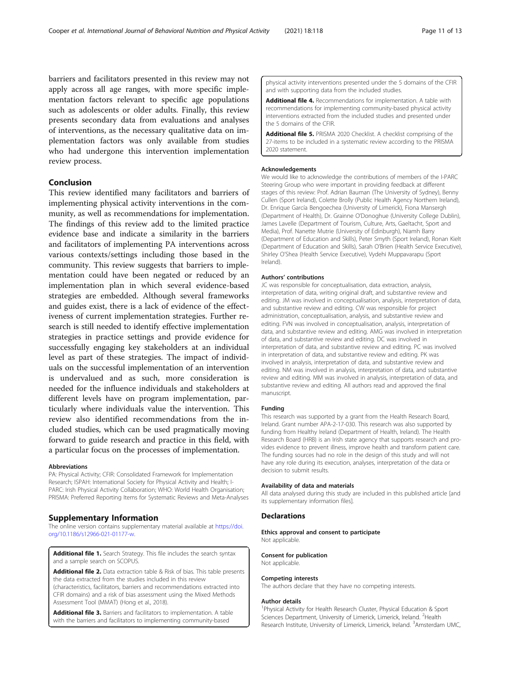<span id="page-10-0"></span>barriers and facilitators presented in this review may not apply across all age ranges, with more specific implementation factors relevant to specific age populations such as adolescents or older adults. Finally, this review presents secondary data from evaluations and analyses of interventions, as the necessary qualitative data on implementation factors was only available from studies who had undergone this intervention implementation review process.

# Conclusion

This review identified many facilitators and barriers of implementing physical activity interventions in the community, as well as recommendations for implementation. The findings of this review add to the limited practice evidence base and indicate a similarity in the barriers and facilitators of implementing PA interventions across various contexts/settings including those based in the community. This review suggests that barriers to implementation could have been negated or reduced by an implementation plan in which several evidence-based strategies are embedded. Although several frameworks and guides exist, there is a lack of evidence of the effectiveness of current implementation strategies. Further research is still needed to identify effective implementation strategies in practice settings and provide evidence for successfully engaging key stakeholders at an individual level as part of these strategies. The impact of individuals on the successful implementation of an intervention is undervalued and as such, more consideration is needed for the influence individuals and stakeholders at different levels have on program implementation, particularly where individuals value the intervention. This review also identified recommendations from the included studies, which can be used pragmatically moving forward to guide research and practice in this field, with a particular focus on the processes of implementation.

#### Abbreviations

PA: Physical Activity; CFIR: Consolidated Framework for Implementation Research; ISPAH: International Society for Physical Activity and Health; I-PARC: Irish Physical Activity Collaboration; WHO: World Health Organisation; PRISMA: Preferred Reporting Items for Systematic Reviews and Meta-Analyses

# Supplementary Information

The online version contains supplementary material available at [https://doi.](https://doi.org/10.1186/s12966-021-01177-w) [org/10.1186/s12966-021-01177-w](https://doi.org/10.1186/s12966-021-01177-w).

Additional file 1. Search Strategy. This file includes the search syntax and a sample search on SCOPUS.

Additional file 2. Data extraction table & Risk of bias. This table presents the data extracted from the studies included in this review (characteristics, facilitators, barriers and recommendations extracted into CFIR domains) and a risk of bias assessment using the Mixed Methods Assessment Tool (MMAT) (Hong et al., 2018).

Additional file 3. Barriers and facilitators to implementation. A table with the barriers and facilitators to implementing community-based

physical activity interventions presented under the 5 domains of the CFIR and with supporting data from the included studies.

Additional file 4. Recommendations for implementation. A table with recommendations for implementing community-based physical activity interventions extracted from the included studies and presented under the 5 domains of the CFIR.

Additional file 5. PRISMA 2020 Checklist. A checklist comprising of the 27-items to be included in a systematic review according to the PRISMA 2020 statement.

#### Acknowledgements

We would like to acknowledge the contributions of members of the I-PARC Steering Group who were important in providing feedback at different stages of this review: Prof. Adrian Bauman (The University of Sydney), Benny Cullen (Sport Ireland), Colette Brolly (Public Health Agency Northern Ireland), Dr. Enrique García Bengoechea (University of Limerick), Fiona Mansergh (Department of Health), Dr. Grainne O'Donoghue (University College Dublin), James Lavelle (Department of Tourism, Culture, Arts, Gaeltacht, Sport and Media), Prof. Nanette Mutrie (University of Edinburgh), Niamh Barry (Department of Education and Skills), Peter Smyth (Sport Ireland), Ronan Kielt (Department of Education and Skills), Sarah O'Brien (Health Service Executive), Shirley O'Shea (Health Service Executive), Vydehi Muppavarapu (Sport Ireland).

#### Authors' contributions

JC was responsible for conceptualisation, data extraction, analysis, interpretation of data, writing original draft, and substantive review and editing. JM was involved in conceptualisation, analysis, interpretation of data, and substantive review and editing. CW was responsible for project administration, conceptualisation, analysis, and substantive review and editing. FVN was involved in conceptualisation, analysis, interpretation of data, and substantive review and editing. AMG was involved in interpretation of data, and substantive review and editing. DC was involved in interpretation of data, and substantive review and editing. PC was involved in interpretation of data, and substantive review and editing. PK was involved in analysis, interpretation of data, and substantive review and editing. NM was involved in analysis, interpretation of data, and substantive review and editing. MM was involved in analysis, interpretation of data, and substantive review and editing. All authors read and approved the final manuscript.

#### Funding

This research was supported by a grant from the Health Research Board, Ireland. Grant number APA-2-17-030. This research was also supported by funding from Healthy Ireland (Department of Health, Ireland). The Health Research Board (HRB) is an Irish state agency that supports research and provides evidence to prevent illness, improve health and transform patient care. The funding sources had no role in the design of this study and will not have any role during its execution, analyses, interpretation of the data or decision to submit results.

#### Availability of data and materials

All data analysed during this study are included in this published article [and its supplementary information files].

#### **Declarations**

Ethics approval and consent to participate Not applicable.

Consent for publication Not applicable.

#### Competing interests

The authors declare that they have no competing interests.

#### Author details

<sup>1</sup> Physical Activity for Health Research Cluster, Physical Education & Sport Sciences Department, University of Limerick, Limerick, Ireland. <sup>2</sup>Health Research Institute, University of Limerick, Limerick, Ireland. <sup>3</sup>Amsterdam UMC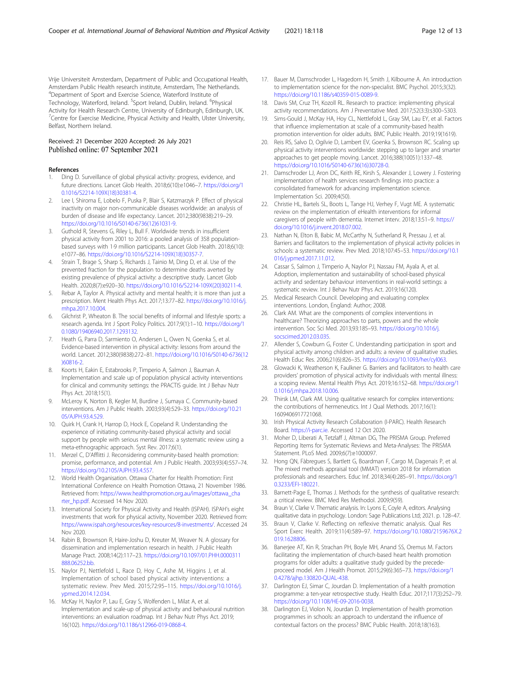<span id="page-11-0"></span>Vrije Universiteit Amsterdam, Department of Public and Occupational Health, Amsterdam Public Health research institute, Amsterdam, The Netherlands. 4 Department of Sport and Exercise Science, Waterford Institute of Technology, Waterford, Ireland. <sup>5</sup>Sport Ireland, Dublin, Ireland. <sup>6</sup>Physical Activity for Health Research Centre, University of Edinburgh, Edinburgh, UK. <sup>7</sup> Centre for Exercise Medicine, Physical Activity and Health, Ulster University, Belfast, Northern Ireland.

### Received: 21 December 2020 Accepted: 26 July 2021 Published online: 07 September 2021

#### References

- 1. Ding D. Surveillance of global physical activity: progress, evidence, and future directions. Lancet Glob Health. 2018;6(10):e1046–7. [https://doi.org/1](https://doi.org/10.1016/S2214-109X(18)30381-4) [0.1016/S2214-109X\(18\)30381-4.](https://doi.org/10.1016/S2214-109X(18)30381-4)
- 2. Lee I, Shiroma E, Lobelo F, Puska P, Blair S, Katzmarzyk P. Effect of physical inactivity on major non-communicable diseases worldwide: an analysis of burden of disease and life expectancy. Lancet. 2012;380(9838):219–29. [https://doi.org/10.1016/S0140-6736\(12\)61031-9.](https://doi.org/10.1016/S0140-6736(12)61031-9)
- 3. Guthold R, Stevens G, Riley L, Bull F. Worldwide trends in insufficient physical activity from 2001 to 2016: a pooled analysis of 358 populationbased surveys with 1·9 million participants. Lancet Glob Health. 2018;6(10): e1077–86. [https://doi.org/10.1016/S2214-109X\(18\)30357-7.](https://doi.org/10.1016/S2214-109X(18)30357-7)
- 4. Strain T, Brage S, Sharp S, Richards J, Tainio M, Ding D, et al. Use of the prevented fraction for the population to determine deaths averted by existing prevalence of physical activity: a descriptive study. Lancet Glob Health. 2020;8(7):e920–30. [https://doi.org/10.1016/S2214-109X\(20\)30211-4.](https://doi.org/10.1016/S2214-109X(20)30211-4)
- 5. Rebar A, Taylor A. Physical activity and mental health; it is more than just a prescription. Ment Health Phys Act. 2017;13:77–82. [https://doi.org/10.1016/j.](https://doi.org/10.1016/j.mhpa.2017.10.004) [mhpa.2017.10.004.](https://doi.org/10.1016/j.mhpa.2017.10.004)
- 6. Gilchrist P, Wheaton B. The social benefits of informal and lifestyle sports: a research agenda. Int J Sport Policy Politics. 2017;9(1):1–10. [https://doi.org/1](https://doi.org/10.1080/19406940.2017.1293132) [0.1080/19406940.2017.1293132.](https://doi.org/10.1080/19406940.2017.1293132)
- 7. Heath G, Parra D, Sarmiento O, Andersen L, Owen N, Goenka S, et al. Evidence-based intervention in physical activity: lessons from around the world. Lancet. 2012;380(9838):272–81. [https://doi.org/10.1016/S0140-6736\(12](https://doi.org/10.1016/S0140-6736(12)60816-2) [\)60816-2](https://doi.org/10.1016/S0140-6736(12)60816-2).
- 8. Koorts H, Eakin E, Estabrooks P, Timperio A, Salmon J, Bauman A. Implementation and scale up of population physical activity interventions for clinical and community settings: the PRACTIS guide. Int J Behav Nutr Phys Act. 2018;15(1).
- 9. McLeroy K, Norton B, Kegler M, Burdine J, Sumaya C. Community-based interventions. Am J Public Health. 2003;93(4):529–33. [https://doi.org/10.21](https://doi.org/10.2105/AJPH.93.4.529) [05/AJPH.93.4.529.](https://doi.org/10.2105/AJPH.93.4.529)
- 10. Quirk H, Crank H, Harrop D, Hock E, Copeland R. Understanding the experience of initiating community-based physical activity and social support by people with serious mental illness: a systematic review using a meta-ethnographic approach. Syst Rev. 2017;6(1).
- 11. Merzel C, D'Afflitti J. Reconsidering community-based health promotion: promise, performance, and potential. Am J Public Health. 2003;93(4):557–74. [https://doi.org/10.2105/AJPH.93.4.557.](https://doi.org/10.2105/AJPH.93.4.557)
- 12. World Health Organisation. Ottawa Charter for Health Promotion: First International Conference on Health Promotion Ottawa, 21 November 1986. Retrieved from: [https://www.healthpromotion.org.au/images/ottawa\\_cha](https://www.healthpromotion.org.au/images/ottawa_charter_hp.pdf) [rter\\_hp.pdf](https://www.healthpromotion.org.au/images/ottawa_charter_hp.pdf). Accessed 14 Nov 2020.
- 13. International Society for Physical Activity and Health (ISPAH). ISPAH's eight investments that work for physical activity, November 2020. Retrieved from: <https://www.ispah.org/resources/key-resources/8-investments/>. Accessed 24 Nov 2020.
- 14. Rabin B, Brownson R, Haire-Joshu D, Kreuter M, Weaver N. A glossary for dissemination and implementation research in health. J Public Health Manage Pract. 2008;14(2):117–23. [https://doi.org/10.1097/01.PHH.0000311](https://doi.org/10.1097/01.PHH.0000311888.06252.bb) [888.06252.bb](https://doi.org/10.1097/01.PHH.0000311888.06252.bb).
- 15. Naylor PJ, Nettlefold L, Race D, Hoy C, Ashe M, Higgins J, et al. Implementation of school based physical activity interventions: a systematic review. Prev Med. 2015;72:95–115. [https://doi.org/10.1016/j.](https://doi.org/10.1016/j.ypmed.2014.12.034) [ypmed.2014.12.034.](https://doi.org/10.1016/j.ypmed.2014.12.034)
- 16. McKay H, Naylor P, Lau E, Gray S, Wolfenden L, Milat A, et al. Implementation and scale-up of physical activity and behavioural nutrition interventions: an evaluation roadmap. Int J Behav Nutr Phys Act. 2019; 16(102). <https://doi.org/10.1186/s12966-019-0868-4>.
- 17. Bauer M, Damschroder L, Hagedorn H, Smith J, Kilbourne A. An introduction to implementation science for the non-specialist. BMC Psychol. 2015;3(32). <https://doi.org/10.1186/s40359-015-0089-9>.
- 18. Davis SM, Cruz TH, Kozoll RL. Research to practice: implementing physical activity recommendations. Am J Preventative Med. 2017;52(3:3):s300–S303.
- 19. Sims-Gould J, McKay HA, Hoy CL, Nettlefold L, Gray SM, Lau EY, et al. Factors that influence implementation at scale of a community-based health promotion intervention for older adults. BMC Public Health. 2019;19(1619).
- 20. Reis RS, Salvo D, Ogilvie D, Lambert EV, Goenka S, Brownson RC. Scaling up physical activity interventions worldwide: stepping up to larger and smarter approaches to get people moving. Lancet. 2016;388(10051):1337–48. [https://doi.org/10.1016/S0140-6736\(16\)30728-0.](https://doi.org/10.1016/S0140-6736(16)30728-0)
- 21. Damschroder LJ, Aron DC, Keith RE, Kirsh S, Alexander J, Lowery J. Fostering implementation of health services research findings into practice: a consolidated framework for advancing implementation science. Implementation Sci. 2009;4(50).
- 22. Christie HL, Bartels SL, Boots L, Tange HJ, Verhey F, Vugt ME. A systematic review on the implementation of eHealth interventions for informal caregivers of people with dementia. Internet Interv. 2018;13:51–9. [https://](https://doi.org/10.1016/j.invent.2018.07.002) [doi.org/10.1016/j.invent.2018.07.002](https://doi.org/10.1016/j.invent.2018.07.002).
- 23. Nathan N, Elton B, Babic M, McCarthy N, Sutherland R, Pressau J, et al. Barriers and facilitators to the implementation of physical activity policies in schools: a systematic review. Prev Med. 2018;107:45–53. [https://doi.org/10.1](https://doi.org/10.1016/j.ypmed.2017.11.012) [016/j.ypmed.2017.11.012](https://doi.org/10.1016/j.ypmed.2017.11.012).
- 24. Cassar S, Salmon J, Timperio A, Naylor PJ, Nassau FM, Ayala A, et al. Adoption, implementation and sustainability of school-based physical activity and sedentary behaviour interventions in real-world settings: a systematic review. Int J Behav Nutr Phys Act. 2019;16(120).
- 25. Medical Research Council. Developing and evaluating complex interventions. London, England: Author; 2008.
- 26. Clark AM. What are the components of complex interventions in healthcare? Theorizing approaches to parts, powers and the whole intervention. Soc Sci Med. 2013;93:185–93. [https://doi.org/10.1016/j.](https://doi.org/10.1016/j.socscimed.2012.03.035) [socscimed.2012.03.035.](https://doi.org/10.1016/j.socscimed.2012.03.035)
- 27. Allender S, Cowburn G, Foster C. Understanding participation in sport and physical activity among children and adults: a review of qualitative studies. Health Educ Res. 2006;21(6):826–35. <https://doi.org/10.1093/her/cyl063>.
- 28. Glowacki K, Weatherson K, Faulkner G. Barriers and facilitators to health care providers' promotion of physical activity for individuals with mental illness: a scoping review. Mental Health Phys Act. 2019;16:152–68. [https://doi.org/1](https://doi.org/10.1016/j.mhpa.2018.10.006) [0.1016/j.mhpa.2018.10.006.](https://doi.org/10.1016/j.mhpa.2018.10.006)
- 29. Thirsk LM, Clark AM. Using qualitative research for complex interventions: the contributions of hermeneutics. Int J Qual Methods. 2017;16(1): 1609406917721068.
- 30. Irish Physical Activity Research Collaboration (I-PARC). Health Research Board. <https://i-parc.ie>. Accessed 12 Oct 2020.
- 31. Moher D, Liberati A, Tetzlaff J, Altman DG, The PRISMA Group. Preferred Reporting Items for Systematic Reviews and Meta-Analyses: The PRISMA Statement. PLoS Med. 2009;6(7):e1000097.
- 32. Hong QN, Fàbregues S, Bartlett G, Boardman F, Cargo M, Dagenais P, et al. The mixed methods appraisal tool (MMAT) version 2018 for information professionals and researchers. Educ Inf. 2018;34(4):285–91. [https://doi.org/1](https://doi.org/10.3233/EFI-180221) [0.3233/EFI-180221.](https://doi.org/10.3233/EFI-180221)
- 33. Barnett-Page E, Thomas J. Methods for the synthesis of qualitative research: a critical review. BMC Med Res Methodol. 2009;9(59).
- 34. Braun V, Clarke V. Thematic analysis. In: Lyons E, Coyle A, editors. Analysing qualitative data in psychology. London: Sage Publications Ltd; 2021. p. 128–47.
- 35. Braun V, Clarke V. Reflecting on reflexive thematic analysis. Qual Res Sport Exerc Health. 2019;11(4):589–97. [https://doi.org/10.1080/2159676X.2](https://doi.org/10.1080/2159676X.2019.1628806) [019.1628806](https://doi.org/10.1080/2159676X.2019.1628806).
- 36. Banerjee AT, Kin R, Strachan PH, Boyle MH, Anand SS, Oremus M. Factors facilitating the implementation of church-based heart health promotion programs for older adults: a qualitative study guided by the precedeproceed model. Am J Health Promot. 2015;29(6):365–73. [https://doi.org/1](https://doi.org/10.4278/ajhp.130820-QUAL-438) [0.4278/ajhp.130820-QUAL-438](https://doi.org/10.4278/ajhp.130820-QUAL-438).
- 37. Darlington EJ, Simar C, Jourdan D. Implementation of a health promotion programme: a ten-year retrospective study. Health Educ. 2017;117(3):252–79. <https://doi.org/10.1108/HE-09-2016-0038>.
- 38. Darlington EJ, Violon N, Jourdan D. Implementation of health promotion programmes in schools: an approach to understand the influence of contextual factors on the process? BMC Public Health. 2018;18(163).